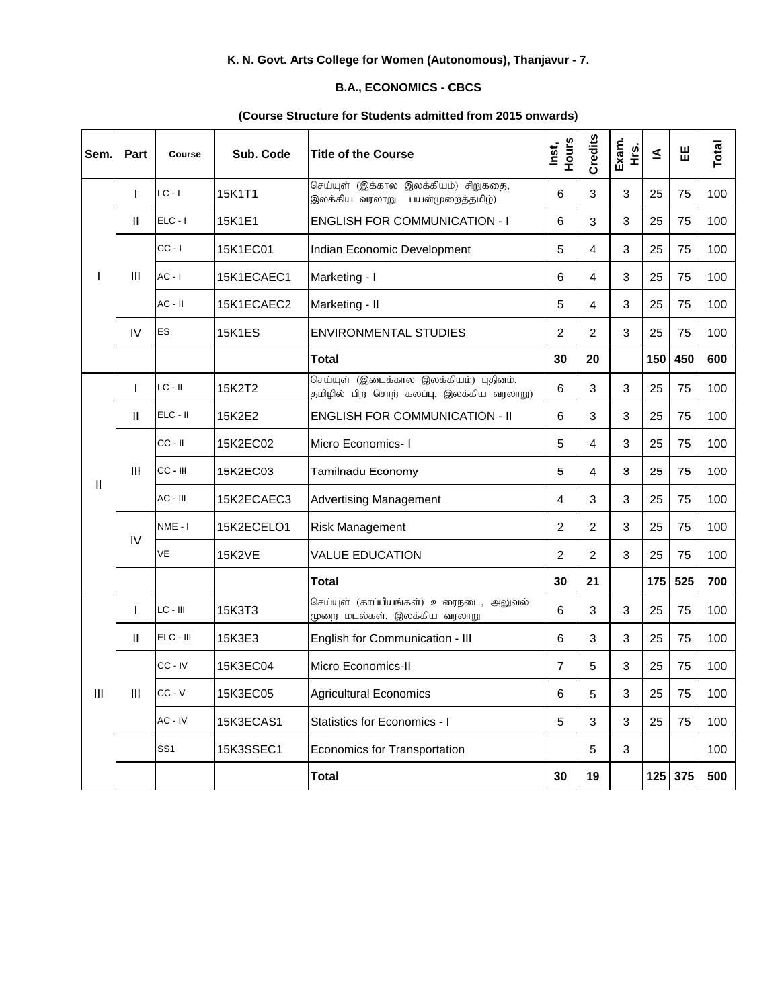## **K. N. Govt. Arts College for Women (Autonomous), Thanjavur - 7.**

## **B.A., ECONOMICS - CBCS**

## **(Course Structure for Students admitted from 2015 onwards)**

| Sem. | Part         | Course          | Sub. Code     | <b>Title of the Course</b>                                                         | Hours<br>Inst, | Credits        | Exam.<br>ι<br>Ε | ₹   | Ш       | Total |
|------|--------------|-----------------|---------------|------------------------------------------------------------------------------------|----------------|----------------|-----------------|-----|---------|-------|
|      | $\mathbf{I}$ | $LC - I$        | 15K1T1        | செய்யுள் (இக்கால இலக்கியம்) சிறுகதை,<br>இலக்கிய வரலாறு<br>பயன்முறைத்தமிழ்)         | 6              | 3              | 3               | 25  | 75      | 100   |
|      | $\mathbf{H}$ | $ELC - I$       | 15K1E1        | <b>ENGLISH FOR COMMUNICATION - I</b>                                               | 6              | 3              | 3               | 25  | 75      | 100   |
|      | Ш            | $CC - I$        | 15K1EC01      | Indian Economic Development                                                        | 5              | 4              | 3               | 25  | 75      | 100   |
|      |              | $AC - I$        | 15K1ECAEC1    | Marketing - I                                                                      | 6              | 4              | 3               | 25  | 75      | 100   |
|      |              | $AC - II$       | 15K1ECAEC2    | Marketing - II                                                                     | 5              | 4              | 3               | 25  | 75      | 100   |
|      | IV           | ES              | <b>15K1ES</b> | <b>ENVIRONMENTAL STUDIES</b>                                                       | 2              | $\overline{c}$ | 3               | 25  | 75      | 100   |
|      |              |                 |               | <b>Total</b>                                                                       | 30             | 20             |                 | 150 | 450     | 600   |
|      | $\mathbf{I}$ | $LC - II$       | 15K2T2        | செய்யுள் (இடைக்கால இலக்கியம்) புதினம்,<br>தமிழில் பிற சொற் கலப்பு, இலக்கிய வரலாறு) | 6              | 3              | 3               | 25  | 75      | 100   |
|      | Ш            | $ELC - II$      | 15K2E2        | <b>ENGLISH FOR COMMUNICATION - II</b>                                              | 6              | 3              | 3               | 25  | 75      | 100   |
|      | Ш            | $CC - II$       | 15K2EC02      | Micro Economics-1                                                                  | 5              | 4              | 3               | 25  | 75      | 100   |
| Ш    |              | CC - III        | 15K2EC03      | Tamilnadu Economy                                                                  | 5              | 4              | 3               | 25  | 75      | 100   |
|      |              | AC - III        | 15K2ECAEC3    | <b>Advertising Management</b>                                                      | 4              | 3              | 3               | 25  | 75      | 100   |
|      | IV           | NME-I           | 15K2ECELO1    | <b>Risk Management</b>                                                             | $\overline{c}$ | $\overline{c}$ | 3               | 25  | 75      | 100   |
|      |              | VE              | <b>15K2VE</b> | <b>VALUE EDUCATION</b>                                                             | $\overline{c}$ | $\overline{c}$ | 3               | 25  | 75      | 100   |
|      |              |                 |               | <b>Total</b>                                                                       | 30             | 21             |                 | 175 | 525     | 700   |
|      | $\mathbf{I}$ | $LC - III$      | 15K3T3        | செய்யுள் (காப்பியங்கள்) உரைநடை, அலுவல்<br>முறை மடல்கள், இலக்கிய வரலாறு             | 6              | 3              | 3               | 25  | 75      | 100   |
|      | $\mathbf{H}$ | ELC - III       | 15K3E3        | English for Communication - III                                                    | 6              | 3              | 3               | 25  | 75      | 100   |
|      | Ш            | CC-IV           | 15K3EC04      | Micro Economics-II                                                                 | 7              | 5              | 3               | 25  | 75      | 100   |
| Ш    |              | CC - V          | 15K3EC05      | <b>Agricultural Economics</b>                                                      | 6              | 5              | 3               | 25  | 75      | 100   |
|      |              | AC - IV         | 15K3ECAS1     | Statistics for Economics - I                                                       | 5              | 3              | 3               | 25  | 75      | 100   |
|      |              | SS <sub>1</sub> | 15K3SSEC1     | Economics for Transportation                                                       |                | 5              | 3               |     |         | 100   |
|      |              |                 |               | <b>Total</b>                                                                       | 30             | 19             |                 |     | 125 375 | 500   |